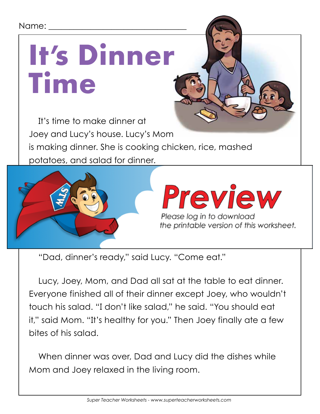#### Name: \_\_\_\_\_\_\_\_\_\_\_\_\_\_\_\_\_\_\_\_\_\_\_\_\_\_\_\_\_\_\_\_\_

## **It's Dinner Time**

It's time to make dinner at Joey and Lucy's house. Lucy's Mom is making dinner. She is cooking chicken, rice, mashed potatoes, and salad for dinner.



"Dad, dinner's ready," said Lucy. "Come eat."

Lucy, Joey, Mom, and Dad all sat at the table to eat dinner. Everyone finished all of their dinner except Joey, who wouldn't touch his salad. "I don't like salad," he said. "You should eat it," said Mom. "It's healthy for you." Then Joey finally ate a few bites of his salad.

When dinner was over, Dad and Lucy did the dishes while Mom and Joey relaxed in the living room.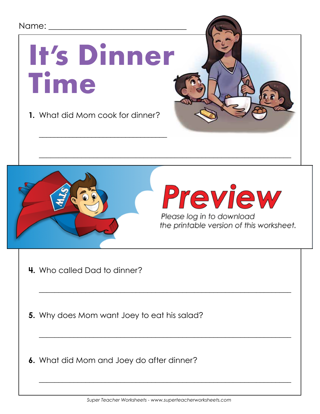



Preview

Please log in to download

- **4.** Who called Dad to dinner?
- **5.** Why does Mom want Joey to eat his salad?
- **6.** What did Mom and Joey do after dinner?

 $\overline{\phantom{a}}$  , and the contract of the contract of the contract of the contract of the contract of the contract of the contract of the contract of the contract of the contract of the contract of the contract of the contrac

 $\overline{\phantom{a}}$  , and the contract of the contract of the contract of the contract of the contract of the contract of the contract of the contract of the contract of the contract of the contract of the contract of the contrac

 $\overline{\phantom{a}}$  , and the contract of the contract of the contract of the contract of the contract of the contract of the contract of the contract of the contract of the contract of the contract of the contract of the contrac